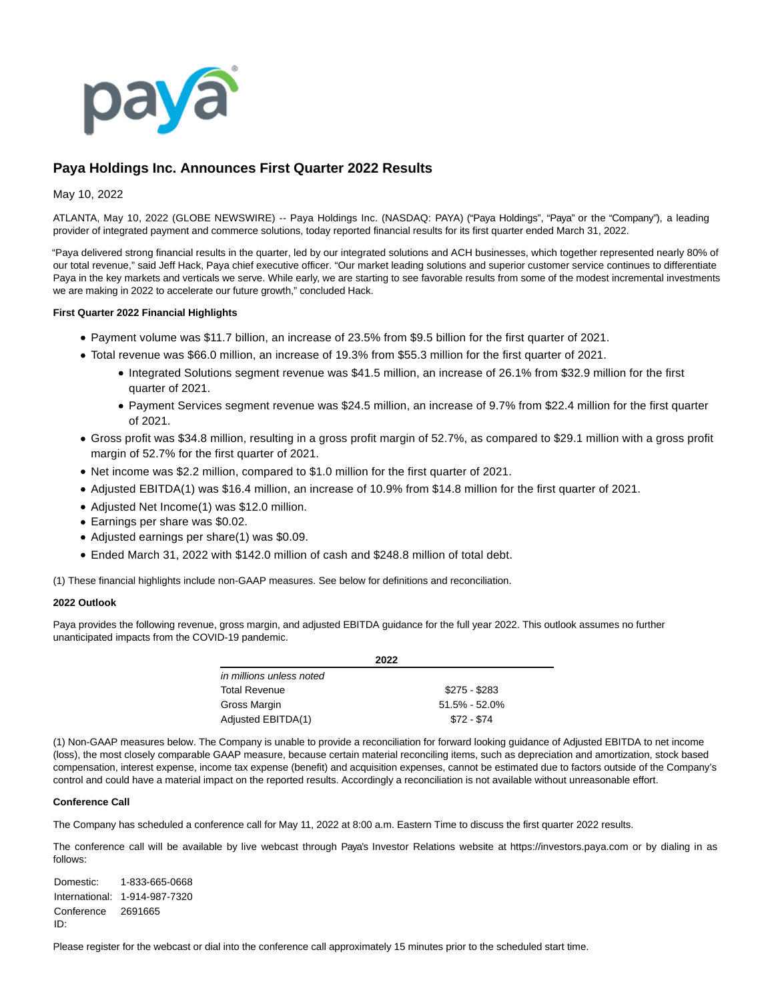

# **Paya Holdings Inc. Announces First Quarter 2022 Results**

May 10, 2022

ATLANTA, May 10, 2022 (GLOBE NEWSWIRE) -- Paya Holdings Inc. (NASDAQ: PAYA) ("Paya Holdings", "Paya" or the "Company"), a leading provider of integrated payment and commerce solutions, today reported financial results for its first quarter ended March 31, 2022.

"Paya delivered strong financial results in the quarter, led by our integrated solutions and ACH businesses, which together represented nearly 80% of our total revenue," said Jeff Hack, Paya chief executive officer. "Our market leading solutions and superior customer service continues to differentiate Paya in the key markets and verticals we serve. While early, we are starting to see favorable results from some of the modest incremental investments we are making in 2022 to accelerate our future growth," concluded Hack.

### **First Quarter 2022 Financial Highlights**

- Payment volume was \$11.7 billion, an increase of 23.5% from \$9.5 billion for the first quarter of 2021.
- Total revenue was \$66.0 million, an increase of 19.3% from \$55.3 million for the first quarter of 2021.
	- Integrated Solutions segment revenue was \$41.5 million, an increase of 26.1% from \$32.9 million for the first quarter of 2021.
	- Payment Services segment revenue was \$24.5 million, an increase of 9.7% from \$22.4 million for the first quarter of 2021.
- Gross profit was \$34.8 million, resulting in a gross profit margin of 52.7%, as compared to \$29.1 million with a gross profit margin of 52.7% for the first quarter of 2021.
- Net income was \$2.2 million, compared to \$1.0 million for the first quarter of 2021.
- Adjusted EBITDA(1) was \$16.4 million, an increase of 10.9% from \$14.8 million for the first quarter of 2021.
- Adjusted Net Income(1) was \$12.0 million.
- Earnings per share was \$0.02.
- Adjusted earnings per share(1) was \$0.09.
- Ended March 31, 2022 with \$142.0 million of cash and \$248.8 million of total debt.

(1) These financial highlights include non-GAAP measures. See below for definitions and reconciliation.

### **2022 Outlook**

Paya provides the following revenue, gross margin, and adjusted EBITDA guidance for the full year 2022. This outlook assumes no further unanticipated impacts from the COVID-19 pandemic.

| 2022                     |               |  |  |
|--------------------------|---------------|--|--|
| in millions unless noted |               |  |  |
| Total Revenue            | $$275 - $283$ |  |  |
| Gross Margin             | 51.5% - 52.0% |  |  |
| Adjusted EBITDA(1)       | $$72 - $74$   |  |  |
|                          |               |  |  |

(1) Non-GAAP measures below. The Company is unable to provide a reconciliation for forward looking guidance of Adjusted EBITDA to net income (loss), the most closely comparable GAAP measure, because certain material reconciling items, such as depreciation and amortization, stock based compensation, interest expense, income tax expense (benefit) and acquisition expenses, cannot be estimated due to factors outside of the Company's control and could have a material impact on the reported results. Accordingly a reconciliation is not available without unreasonable effort.

### **Conference Call**

The Company has scheduled a conference call for May 11, 2022 at 8:00 a.m. Eastern Time to discuss the first quarter 2022 results.

The conference call will be available by live webcast through Paya's Investor Relations website at https://investors.paya.com or by dialing in as follows:

Domestic: 1-833-665-0668 International: 1-914-987-7320 Conference ID: 2691665

Please register for the webcast or dial into the conference call approximately 15 minutes prior to the scheduled start time.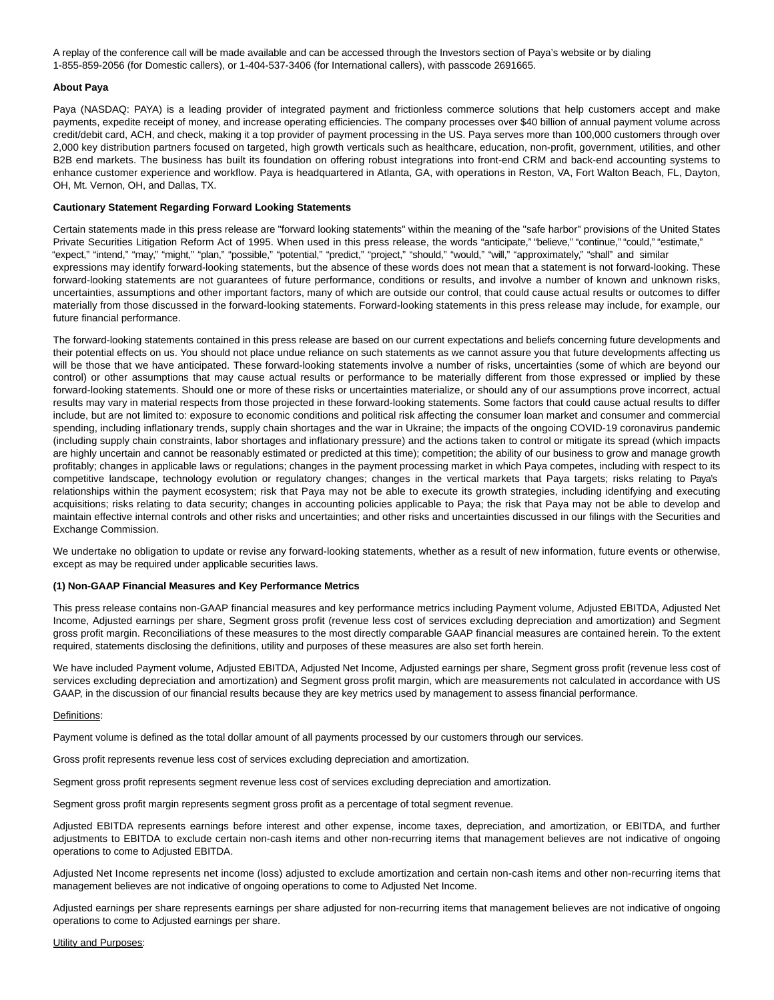A replay of the conference call will be made available and can be accessed through the Investors section of Paya's website or by dialing 1-855-859-2056 (for Domestic callers), or 1-404-537-3406 (for International callers), with passcode 2691665.

### **About Paya**

Paya (NASDAQ: PAYA) is a leading provider of integrated payment and frictionless commerce solutions that help customers accept and make payments, expedite receipt of money, and increase operating efficiencies. The company processes over \$40 billion of annual payment volume across credit/debit card, ACH, and check, making it a top provider of payment processing in the US. Paya serves more than 100,000 customers through over 2,000 key distribution partners focused on targeted, high growth verticals such as healthcare, education, non-profit, government, utilities, and other B2B end markets. The business has built its foundation on offering robust integrations into front-end CRM and back-end accounting systems to enhance customer experience and workflow. Paya is headquartered in Atlanta, GA, with operations in Reston, VA, Fort Walton Beach, FL, Dayton, OH, Mt. Vernon, OH, and Dallas, TX.

# **Cautionary Statement Regarding Forward Looking Statements**

Certain statements made in this press release are "forward looking statements" within the meaning of the "safe harbor" provisions of the United States Private Securities Litigation Reform Act of 1995. When used in this press release, the words "anticipate," "believe," "continue," "could," "estimate," "expect," "intend," "may," "might," "plan," "possible," "potential," "predict," "project," "should," "would," "will," "approximately," "shall" and similar expressions may identify forward-looking statements, but the absence of these words does not mean that a statement is not forward-looking. These forward-looking statements are not guarantees of future performance, conditions or results, and involve a number of known and unknown risks, uncertainties, assumptions and other important factors, many of which are outside our control, that could cause actual results or outcomes to differ materially from those discussed in the forward-looking statements. Forward-looking statements in this press release may include, for example, our future financial performance.

The forward-looking statements contained in this press release are based on our current expectations and beliefs concerning future developments and their potential effects on us. You should not place undue reliance on such statements as we cannot assure you that future developments affecting us will be those that we have anticipated. These forward-looking statements involve a number of risks, uncertainties (some of which are beyond our control) or other assumptions that may cause actual results or performance to be materially different from those expressed or implied by these forward-looking statements. Should one or more of these risks or uncertainties materialize, or should any of our assumptions prove incorrect, actual results may vary in material respects from those projected in these forward-looking statements. Some factors that could cause actual results to differ include, but are not limited to: exposure to economic conditions and political risk affecting the consumer loan market and consumer and commercial spending, including inflationary trends, supply chain shortages and the war in Ukraine; the impacts of the ongoing COVID-19 coronavirus pandemic (including supply chain constraints, labor shortages and inflationary pressure) and the actions taken to control or mitigate its spread (which impacts are highly uncertain and cannot be reasonably estimated or predicted at this time); competition; the ability of our business to grow and manage growth profitably; changes in applicable laws or regulations; changes in the payment processing market in which Paya competes, including with respect to its competitive landscape, technology evolution or regulatory changes; changes in the vertical markets that Paya targets; risks relating to Paya's relationships within the payment ecosystem; risk that Paya may not be able to execute its growth strategies, including identifying and executing acquisitions; risks relating to data security; changes in accounting policies applicable to Paya; the risk that Paya may not be able to develop and maintain effective internal controls and other risks and uncertainties; and other risks and uncertainties discussed in our filings with the Securities and Exchange Commission.

We undertake no obligation to update or revise any forward-looking statements, whether as a result of new information, future events or otherwise, except as may be required under applicable securities laws.

#### **(1) Non-GAAP Financial Measures and Key Performance Metrics**

This press release contains non-GAAP financial measures and key performance metrics including Payment volume, Adjusted EBITDA, Adjusted Net Income, Adjusted earnings per share, Segment gross profit (revenue less cost of services excluding depreciation and amortization) and Segment gross profit margin. Reconciliations of these measures to the most directly comparable GAAP financial measures are contained herein. To the extent required, statements disclosing the definitions, utility and purposes of these measures are also set forth herein.

We have included Payment volume, Adjusted EBITDA, Adjusted Net Income, Adjusted earnings per share, Segment gross profit (revenue less cost of services excluding depreciation and amortization) and Segment gross profit margin, which are measurements not calculated in accordance with US GAAP, in the discussion of our financial results because they are key metrics used by management to assess financial performance.

#### Definitions:

Payment volume is defined as the total dollar amount of all payments processed by our customers through our services.

Gross profit represents revenue less cost of services excluding depreciation and amortization.

Segment gross profit represents segment revenue less cost of services excluding depreciation and amortization.

Segment gross profit margin represents segment gross profit as a percentage of total segment revenue.

Adjusted EBITDA represents earnings before interest and other expense, income taxes, depreciation, and amortization, or EBITDA, and further adjustments to EBITDA to exclude certain non-cash items and other non-recurring items that management believes are not indicative of ongoing operations to come to Adjusted EBITDA.

Adjusted Net Income represents net income (loss) adjusted to exclude amortization and certain non-cash items and other non-recurring items that management believes are not indicative of ongoing operations to come to Adjusted Net Income.

Adjusted earnings per share represents earnings per share adjusted for non-recurring items that management believes are not indicative of ongoing operations to come to Adjusted earnings per share.

#### Utility and Purposes: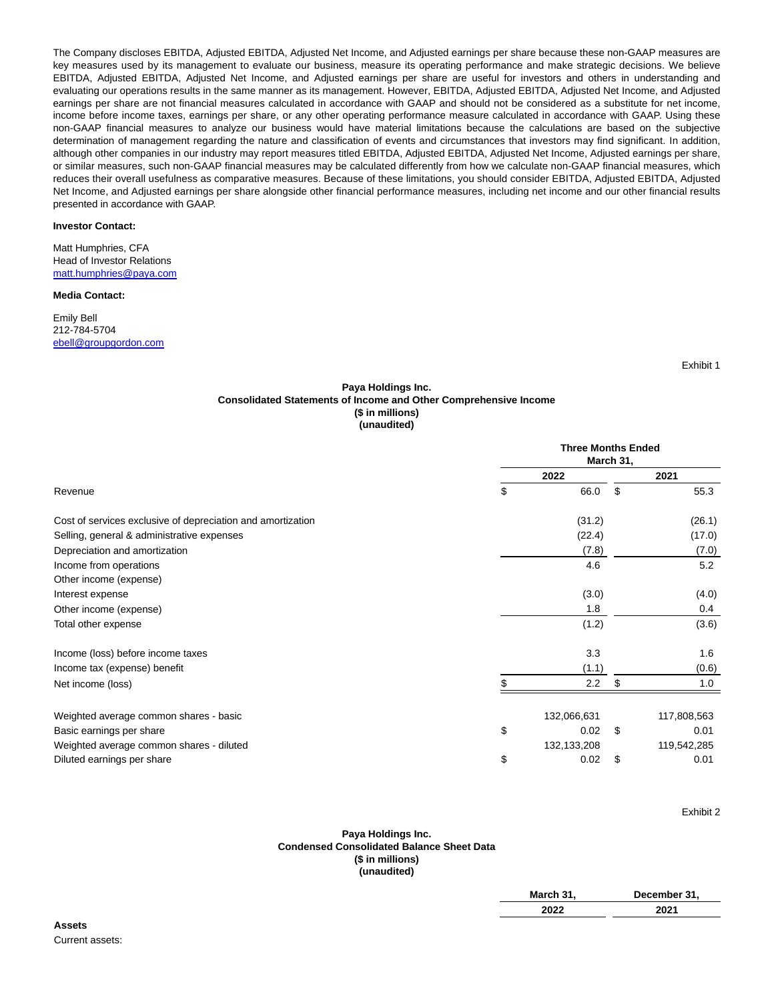The Company discloses EBITDA, Adjusted EBITDA, Adjusted Net Income, and Adjusted earnings per share because these non-GAAP measures are key measures used by its management to evaluate our business, measure its operating performance and make strategic decisions. We believe EBITDA, Adjusted EBITDA, Adjusted Net Income, and Adjusted earnings per share are useful for investors and others in understanding and evaluating our operations results in the same manner as its management. However, EBITDA, Adjusted EBITDA, Adjusted Net Income, and Adjusted earnings per share are not financial measures calculated in accordance with GAAP and should not be considered as a substitute for net income, income before income taxes, earnings per share, or any other operating performance measure calculated in accordance with GAAP. Using these non-GAAP financial measures to analyze our business would have material limitations because the calculations are based on the subjective determination of management regarding the nature and classification of events and circumstances that investors may find significant. In addition, although other companies in our industry may report measures titled EBITDA, Adjusted EBITDA, Adjusted Net Income, Adjusted earnings per share, or similar measures, such non-GAAP financial measures may be calculated differently from how we calculate non-GAAP financial measures, which reduces their overall usefulness as comparative measures. Because of these limitations, you should consider EBITDA, Adjusted EBITDA, Adjusted Net Income, and Adjusted earnings per share alongside other financial performance measures, including net income and our other financial results presented in accordance with GAAP.

#### **Investor Contact:**

Matt Humphries, CFA Head of Investor Relations [matt.humphries@paya.com](https://www.globenewswire.com/Tracker?data=yWetSevZDGppscskjiMx8f0YlXxX5Nvruih4F6MSDrbdHcMf-c04BepCsRsBuE_XPKMQyM8AHxon9n2OhQNl28w3CeIvi-agaAxJJBWqxD8=)

#### **Media Contact:**

Emily Bell 212-784-5704 [ebell@groupgordon.com](https://www.globenewswire.com/Tracker?data=5qREzaR_CgLmiD3dsuNEFU4QnnFvleT7-BK7XKaA8V_Dc7RN0jK9OUIYIjaECjHZPlAZjnfVErh7t7R4kP-KrQQP9M_TvL8Z7-EYlpaxn7E=)

Exhibit 1

### **Paya Holdings Inc. Consolidated Statements of Income and Other Comprehensive Income (\$ in millions) (unaudited)**

|                                                             | <b>Three Months Ended</b><br>March 31, |    |             |  |  |  |  |
|-------------------------------------------------------------|----------------------------------------|----|-------------|--|--|--|--|
|                                                             | 2022                                   |    | 2021        |  |  |  |  |
| Revenue                                                     | \$<br>66.0                             | \$ | 55.3        |  |  |  |  |
| Cost of services exclusive of depreciation and amortization | (31.2)                                 |    | (26.1)      |  |  |  |  |
| Selling, general & administrative expenses                  | (22.4)                                 |    | (17.0)      |  |  |  |  |
| Depreciation and amortization                               | (7.8)                                  |    | (7.0)       |  |  |  |  |
| Income from operations                                      | 4.6                                    |    | 5.2         |  |  |  |  |
| Other income (expense)                                      |                                        |    |             |  |  |  |  |
| Interest expense                                            | (3.0)                                  |    | (4.0)       |  |  |  |  |
| Other income (expense)                                      | 1.8                                    |    | 0.4         |  |  |  |  |
| Total other expense                                         | (1.2)                                  |    | (3.6)       |  |  |  |  |
| Income (loss) before income taxes                           | 3.3                                    |    | 1.6         |  |  |  |  |
| Income tax (expense) benefit                                | (1.1)                                  |    | (0.6)       |  |  |  |  |
| Net income (loss)                                           | 2.2                                    | \$ | 1.0         |  |  |  |  |
| Weighted average common shares - basic                      | 132,066,631                            |    | 117,808,563 |  |  |  |  |
| Basic earnings per share                                    | \$<br>0.02                             | \$ | 0.01        |  |  |  |  |
| Weighted average common shares - diluted                    | 132, 133, 208                          |    | 119,542,285 |  |  |  |  |
| Diluted earnings per share                                  | \$<br>0.02                             | \$ | 0.01        |  |  |  |  |

Exhibit 2

### **Paya Holdings Inc. Condensed Consolidated Balance Sheet Data (\$ in millions) (unaudited)**

| March 31, | December 31, |
|-----------|--------------|
| 2022      | 2021         |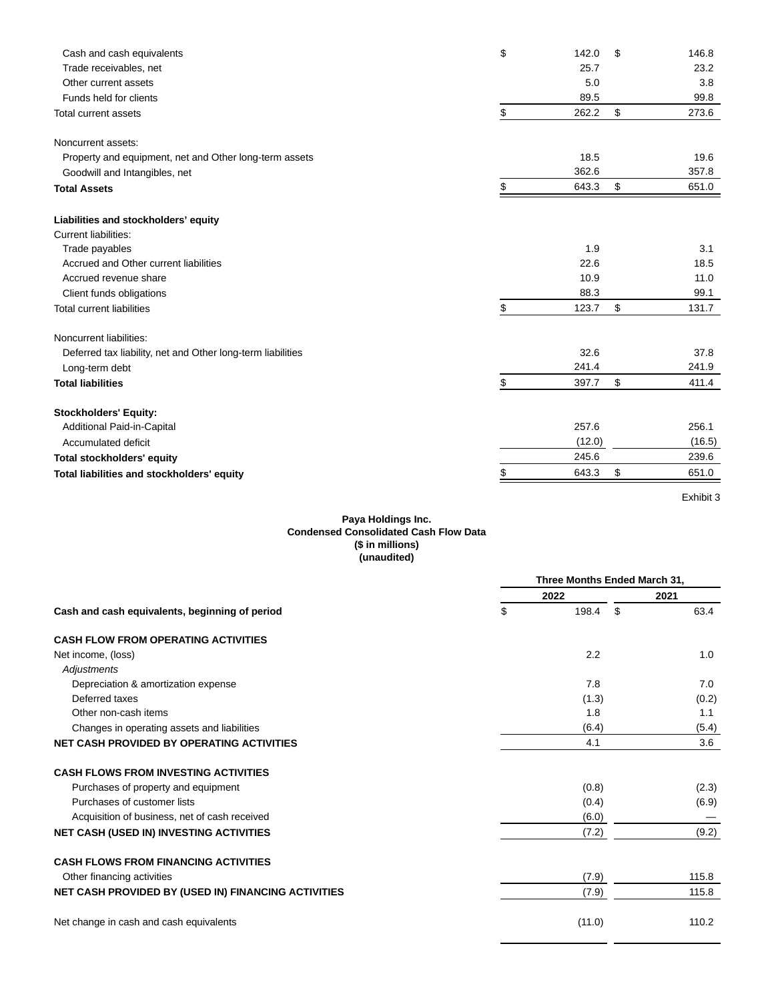| Cash and cash equivalents                                   | \$<br>142.0 | \$<br>146.8 |
|-------------------------------------------------------------|-------------|-------------|
| Trade receivables, net                                      | 25.7        | 23.2        |
| Other current assets                                        | 5.0         | 3.8         |
| Funds held for clients                                      | 89.5        | 99.8        |
| <b>Total current assets</b>                                 | \$<br>262.2 | \$<br>273.6 |
| Noncurrent assets:                                          |             |             |
| Property and equipment, net and Other long-term assets      | 18.5        | 19.6        |
| Goodwill and Intangibles, net                               | 362.6       | 357.8       |
| <b>Total Assets</b>                                         | \$<br>643.3 | \$<br>651.0 |
| Liabilities and stockholders' equity                        |             |             |
| <b>Current liabilities:</b>                                 |             |             |
| Trade payables                                              | 1.9         | 3.1         |
| Accrued and Other current liabilities                       | 22.6        | 18.5        |
| Accrued revenue share                                       | 10.9        | 11.0        |
| Client funds obligations                                    | 88.3        | 99.1        |
| <b>Total current liabilities</b>                            | \$<br>123.7 | \$<br>131.7 |
| Noncurrent liabilities:                                     |             |             |
| Deferred tax liability, net and Other long-term liabilities | 32.6        | 37.8        |
| Long-term debt                                              | 241.4       | 241.9       |
| <b>Total liabilities</b>                                    | \$<br>397.7 | \$<br>411.4 |
| <b>Stockholders' Equity:</b>                                |             |             |
| Additional Paid-in-Capital                                  | 257.6       | 256.1       |
| Accumulated deficit                                         | (12.0)      | (16.5)      |
| <b>Total stockholders' equity</b>                           | 245.6       | 239.6       |
| Total liabilities and stockholders' equity                  | 643.3       | \$<br>651.0 |
|                                                             |             |             |

Exhibit 3

## **Paya Holdings Inc. Condensed Consolidated Cash Flow Data (\$ in millions) (unaudited)**

|                                                     | Three Months Ended March 31. |       |  |  |  |  |  |
|-----------------------------------------------------|------------------------------|-------|--|--|--|--|--|
|                                                     | 2022                         | 2021  |  |  |  |  |  |
| Cash and cash equivalents, beginning of period      | \$<br>\$<br>198.4            | 63.4  |  |  |  |  |  |
| <b>CASH FLOW FROM OPERATING ACTIVITIES</b>          |                              |       |  |  |  |  |  |
| Net income, (loss)                                  | 2.2                          | 1.0   |  |  |  |  |  |
| Adjustments                                         |                              |       |  |  |  |  |  |
| Depreciation & amortization expense                 | 7.8                          | 7.0   |  |  |  |  |  |
| Deferred taxes                                      | (1.3)                        | (0.2) |  |  |  |  |  |
| Other non-cash items                                | 1.8                          | 1.1   |  |  |  |  |  |
| Changes in operating assets and liabilities         | (6.4)                        | (5.4) |  |  |  |  |  |
| NET CASH PROVIDED BY OPERATING ACTIVITIES           | 4.1                          | 3.6   |  |  |  |  |  |
| <b>CASH FLOWS FROM INVESTING ACTIVITIES</b>         |                              |       |  |  |  |  |  |
| Purchases of property and equipment                 | (0.8)                        | (2.3) |  |  |  |  |  |
| Purchases of customer lists                         | (0.4)                        | (6.9) |  |  |  |  |  |
| Acquisition of business, net of cash received       | (6.0)                        |       |  |  |  |  |  |
| <b>NET CASH (USED IN) INVESTING ACTIVITIES</b>      | (7.2)                        | (9.2) |  |  |  |  |  |
| <b>CASH FLOWS FROM FINANCING ACTIVITIES</b>         |                              |       |  |  |  |  |  |
| Other financing activities                          | (7.9)                        | 115.8 |  |  |  |  |  |
| NET CASH PROVIDED BY (USED IN) FINANCING ACTIVITIES | (7.9)                        | 115.8 |  |  |  |  |  |
| Net change in cash and cash equivalents             | (11.0)                       | 110.2 |  |  |  |  |  |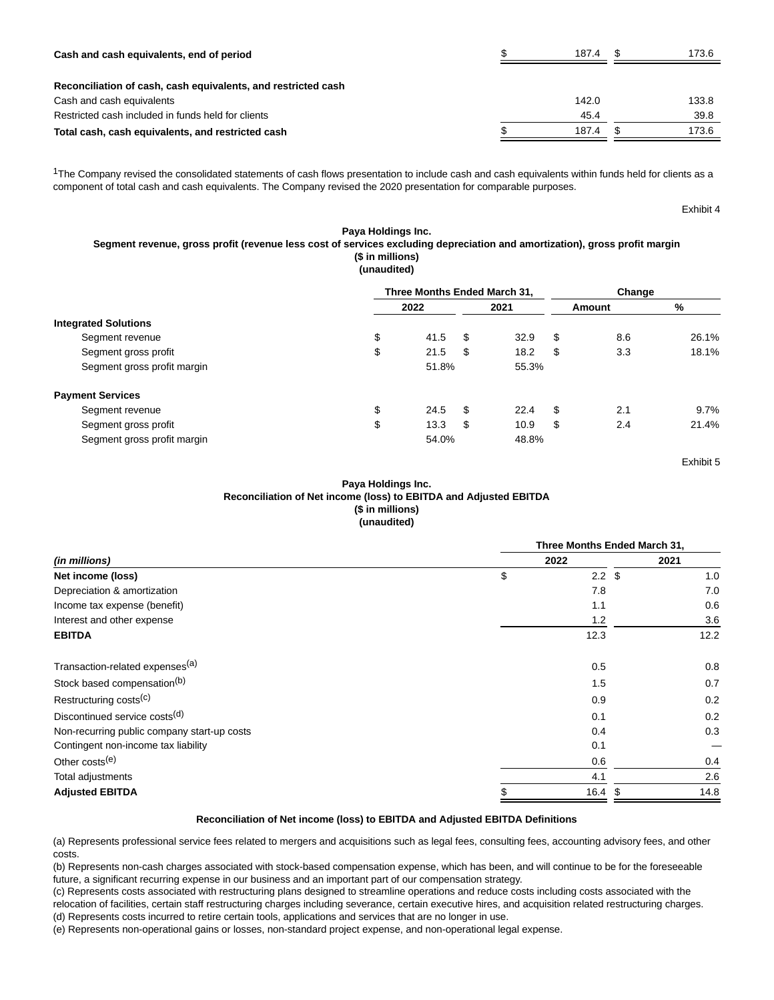| 133.8 |
|-------|
| 39.8  |
| 173.6 |
|       |

 $1$ The Company revised the consolidated statements of cash flows presentation to include cash and cash equivalents within funds held for clients as a component of total cash and cash equivalents. The Company revised the 2020 presentation for comparable purposes.

Exhibit 4

### **Paya Holdings Inc. Segment revenue, gross profit (revenue less cost of services excluding depreciation and amortization), gross profit margin (\$ in millions) (unaudited)**

|                             | Three Months Ended March 31, |       |    |       | Change |        |         |
|-----------------------------|------------------------------|-------|----|-------|--------|--------|---------|
|                             |                              | 2022  |    | 2021  |        | Amount | %       |
| <b>Integrated Solutions</b> |                              |       |    |       |        |        |         |
| Segment revenue             | \$                           | 41.5  | \$ | 32.9  | \$     | 8.6    | 26.1%   |
| Segment gross profit        | \$                           | 21.5  | \$ | 18.2  | \$     | 3.3    | 18.1%   |
| Segment gross profit margin |                              | 51.8% |    | 55.3% |        |        |         |
| <b>Payment Services</b>     |                              |       |    |       |        |        |         |
| Segment revenue             | \$                           | 24.5  | \$ | 22.4  | \$     | 2.1    | $9.7\%$ |
| Segment gross profit        | \$                           | 13.3  | \$ | 10.9  | \$     | 2.4    | 21.4%   |
| Segment gross profit margin |                              | 54.0% |    | 48.8% |        |        |         |

Exhibit 5

### **Paya Holdings Inc. Reconciliation of Net income (loss) to EBITDA and Adjusted EBITDA (\$ in millions) (unaudited)**

|                                             | Three Months Ended March 31, |      |      |  |  |  |
|---------------------------------------------|------------------------------|------|------|--|--|--|
| (in millions)<br>Net income (loss)          | 2022                         | 2021 |      |  |  |  |
|                                             | \$<br>2.2 <sup>5</sup>       |      | 1.0  |  |  |  |
| Depreciation & amortization                 | 7.8                          |      | 7.0  |  |  |  |
| Income tax expense (benefit)                | 1.1                          |      | 0.6  |  |  |  |
| Interest and other expense                  | 1.2                          |      | 3.6  |  |  |  |
| <b>EBITDA</b>                               | 12.3                         |      | 12.2 |  |  |  |
| Transaction-related expenses <sup>(a)</sup> | 0.5                          |      | 0.8  |  |  |  |
| Stock based compensation <sup>(b)</sup>     | 1.5                          |      | 0.7  |  |  |  |
| Restructuring costs <sup>(c)</sup>          | 0.9                          |      | 0.2  |  |  |  |
| Discontinued service costs <sup>(d)</sup>   | 0.1                          |      | 0.2  |  |  |  |
| Non-recurring public company start-up costs | 0.4                          |      | 0.3  |  |  |  |
| Contingent non-income tax liability         | 0.1                          |      |      |  |  |  |
| Other costs <sup>(e)</sup>                  | 0.6                          |      | 0.4  |  |  |  |
| Total adjustments                           | 4.1                          |      | 2.6  |  |  |  |
| <b>Adjusted EBITDA</b>                      | 16.4                         | -S   | 14.8 |  |  |  |

### **Reconciliation of Net income (loss) to EBITDA and Adjusted EBITDA Definitions**

(a) Represents professional service fees related to mergers and acquisitions such as legal fees, consulting fees, accounting advisory fees, and other costs.

(b) Represents non-cash charges associated with stock-based compensation expense, which has been, and will continue to be for the foreseeable future, a significant recurring expense in our business and an important part of our compensation strategy.

(c) Represents costs associated with restructuring plans designed to streamline operations and reduce costs including costs associated with the

relocation of facilities, certain staff restructuring charges including severance, certain executive hires, and acquisition related restructuring charges. (d) Represents costs incurred to retire certain tools, applications and services that are no longer in use.

(e) Represents non-operational gains or losses, non-standard project expense, and non-operational legal expense.